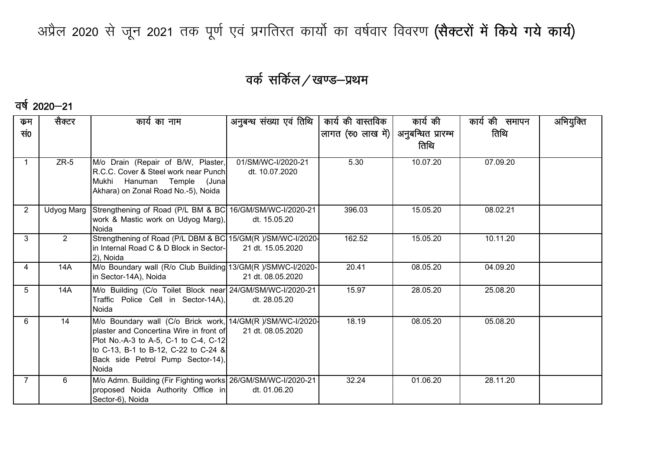अप्रैल 2020 से जून 2021 तक पूर्ण एवं प्रगतिरत कार्यो का वर्षवार विवरण (सैक्टरों में किये गये कार्य)

## वर्क सर्किल / खण्ड-प्रथम

#### वर्ष 2020—21

| कुम            | सैक्टर | कार्य का नाम                                                                     | अनुबन्ध संख्या एवं तिथि | कार्य की वास्तविक                       | कार्य की | कार्य की समापन | अभियुक्ति |
|----------------|--------|----------------------------------------------------------------------------------|-------------------------|-----------------------------------------|----------|----------------|-----------|
| सं0            |        |                                                                                  |                         | लागत (रु0 लाख में)   अनुबन्धित प्रारम्भ |          | तिथि           |           |
|                |        |                                                                                  |                         |                                         | तिथि     |                |           |
|                | $ZR-5$ |                                                                                  | 01/SM/WC-I/2020-21      | 5.30                                    | 10.07.20 | 07.09.20       |           |
|                |        | M/o Drain (Repair of B/W, Plaster,<br>R.C.C. Cover & Steel work near Punch       | dt. 10.07.2020          |                                         |          |                |           |
|                |        | Mukhi<br>Hanuman Temple (Juna                                                    |                         |                                         |          |                |           |
|                |        | Akhara) on Zonal Road No.-5), Noida                                              |                         |                                         |          |                |           |
|                |        |                                                                                  |                         |                                         |          |                |           |
| $\overline{2}$ |        | Udyog Marg Strengthening of Road (P/L BM & BC 16/GM/SM/WC-I/2020-21              |                         | 396.03                                  | 15.05.20 | 08.02.21       |           |
|                |        | work & Mastic work on Udyog Marg),<br>Noida                                      | dt. 15.05.20            |                                         |          |                |           |
| 3              | 2      | Strengthening of Road (P/L DBM & BC 15/GM(R )/SM/WC-I/2020-                      |                         | 162.52                                  | 15.05.20 | 10.11.20       |           |
|                |        | in Internal Road C & D Block in Sector-                                          | 21 dt. 15.05.2020       |                                         |          |                |           |
|                |        | 2), Noida                                                                        |                         |                                         |          |                |           |
| 4              | 14A    | M/o Boundary wall (R/o Club Building 13/GM(R)/SMWC-I/2020-                       |                         | 20.41                                   | 08.05.20 | 04.09.20       |           |
|                |        | in Sector-14A), Noida                                                            | 21 dt. 08.05.2020       |                                         |          |                |           |
| 5              | 14A    | M/o Building (C/o Toilet Block near 24/GM/SM/WC-I/2020-21                        |                         | 15.97                                   | 28.05.20 | 25.08.20       |           |
|                |        | Traffic Police Cell in Sector-14A),<br>Noida                                     | dt. 28.05.20            |                                         |          |                |           |
|                |        |                                                                                  |                         |                                         |          |                |           |
| 6              | 14     | M/o Boundary wall (C/o Brick work, 14/GM(R)/SM/WC-I/2020-                        | 21 dt. 08.05.2020       | 18.19                                   | 08.05.20 | 05.08.20       |           |
|                |        | plaster and Concertina Wire in front of<br>Plot No.-A-3 to A-5, C-1 to C-4, C-12 |                         |                                         |          |                |           |
|                |        | to C-13, B-1 to B-12, C-22 to C-24 &                                             |                         |                                         |          |                |           |
|                |        | Back side Petrol Pump Sector-14),                                                |                         |                                         |          |                |           |
|                |        | Noida                                                                            |                         |                                         |          |                |           |
|                | 6      | M/o Admn. Building (Fir Fighting works 26/GM/SM/WC-I/2020-21                     |                         | 32.24                                   | 01.06.20 | 28.11.20       |           |
|                |        | proposed Noida Authority Office in                                               | dt. 01.06.20            |                                         |          |                |           |
|                |        | Sector-6), Noida                                                                 |                         |                                         |          |                |           |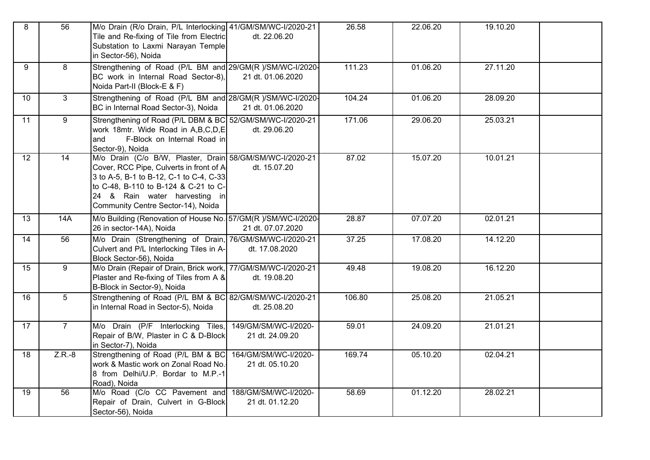| 8               | 56              | M/o Drain (R/o Drain, P/L Interlocking 41/GM/SM/WC-I/2020-21<br>Tile and Re-fixing of Tile from Electric<br>Substation to Laxmi Narayan Temple<br>in Sector-56), Noida                                                                                         | dt. 22.06.20                            | 26.58  | 22.06.20 | 19.10.20 |  |
|-----------------|-----------------|----------------------------------------------------------------------------------------------------------------------------------------------------------------------------------------------------------------------------------------------------------------|-----------------------------------------|--------|----------|----------|--|
| 9               | 8               | Strengthening of Road (P/L BM and 29/GM(R )/SM/WC-I/2020-<br>BC work in Internal Road Sector-8),<br>Noida Part-II (Block-E & F)                                                                                                                                | 21 dt. 01.06.2020                       | 111.23 | 01.06.20 | 27.11.20 |  |
| 10              | $\mathbf{3}$    | Strengthening of Road (P/L BM and 28/GM(R )/SM/WC-I/2020-<br>BC in Internal Road Sector-3), Noida                                                                                                                                                              | 21 dt. 01.06.2020                       | 104.24 | 01.06.20 | 28.09.20 |  |
| 11              | $\overline{9}$  | Strengthening of Road (P/L DBM & BC 52/GM/SM/WC-I/2020-21<br>work 18mtr. Wide Road in A,B,C,D,E<br>F-Block on Internal Road in<br>and<br>Sector-9), Noida                                                                                                      | dt. 29.06.20                            | 171.06 | 29.06.20 | 25.03.21 |  |
| $\overline{12}$ | 14              | M/o Drain (C/o B/W, Plaster, Drain 58/GM/SM/WC-I/2020-21<br>Cover, RCC Pipe, Culverts in front of A-<br>3 to A-5, B-1 to B-12, C-1 to C-4, C-33<br>to C-48, B-110 to B-124 & C-21 to C-<br>24 & Rain water harvesting in<br>Community Centre Sector-14), Noida | dt. 15.07.20                            | 87.02  | 15.07.20 | 10.01.21 |  |
| 13              | 14A             | M/o Building (Renovation of House No. 57/GM(R)/SM/WC-I/2020-<br>26 in sector-14A), Noida                                                                                                                                                                       | 21 dt. 07.07.2020                       | 28.87  | 07.07.20 | 02.01.21 |  |
| 14              | 56              | M/o Drain (Strengthening of Drain, 76/GM/SM/WC-I/2020-21<br>Culvert and P/L Interlocking Tiles in A-<br>Block Sector-56), Noida                                                                                                                                | dt. 17.08.2020                          | 37.25  | 17.08.20 | 14.12.20 |  |
| 15              | 9               | M/o Drain (Repair of Drain, Brick work, 77/GM/SM/WC-I/2020-21<br>Plaster and Re-fixing of Tiles from A &<br>B-Block in Sector-9), Noida                                                                                                                        | dt. 19.08.20                            | 49.48  | 19.08.20 | 16.12.20 |  |
| 16              | $5\phantom{.0}$ | Strengthening of Road (P/L BM & BC 82/GM/SM/WC-I/2020-21<br>in Internal Road in Sector-5), Noida                                                                                                                                                               | dt. 25.08.20                            | 106.80 | 25.08.20 | 21.05.21 |  |
| $\overline{17}$ | $\overline{7}$  | M/o Drain (P/F Interlocking Tiles,<br>Repair of B/W, Plaster in C & D-Block<br>in Sector-7), Noida                                                                                                                                                             | 149/GM/SM/WC-I/2020-<br>21 dt. 24.09.20 | 59.01  | 24.09.20 | 21.01.21 |  |
| $\overline{18}$ | $Z.R.-8$        | Strengthening of Road (P/L BM & BC<br>work & Mastic work on Zonal Road No.<br>8 from Delhi/U.P. Bordar to M.P.-1<br>Road), Noida                                                                                                                               | 164/GM/SM/WC-I/2020-<br>21 dt. 05.10.20 | 169.74 | 05.10.20 | 02.04.21 |  |
| 19              | 56              | M/o Road (C/o CC Pavement and 188/GM/SM/WC-I/2020-<br>Repair of Drain, Culvert in G-Block<br>Sector-56), Noida                                                                                                                                                 | 21 dt. 01.12.20                         | 58.69  | 01.12.20 | 28.02.21 |  |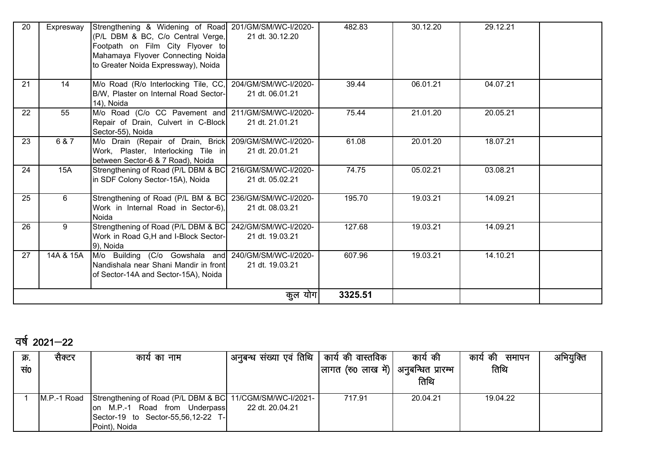| 20 | Expresway | Strengthening & Widening of Road 201/GM/SM/WC-I/2020-<br>(P/L DBM & BC, C/o Central Verge,<br>Footpath on Film City Flyover to<br>Mahamaya Flyover Connecting Noida<br>to Greater Noida Expressway), Noida | 21 dt. 30.12.20                         | 482.83  | 30.12.20 | 29.12.21 |  |
|----|-----------|------------------------------------------------------------------------------------------------------------------------------------------------------------------------------------------------------------|-----------------------------------------|---------|----------|----------|--|
| 21 | 14        | M/o Road (R/o Interlocking Tile, CC,<br>B/W, Plaster on Internal Road Sector-<br>14), Noida                                                                                                                | 204/GM/SM/WC-I/2020-<br>21 dt. 06.01.21 | 39.44   | 06.01.21 | 04.07.21 |  |
| 22 | 55        | M/o Road (C/o CC Pavement and 211/GM/SM/WC-I/2020-<br>Repair of Drain, Culvert in C-Block<br>Sector-55), Noida                                                                                             | 21 dt. 21.01.21                         | 75.44   | 21.01.20 | 20.05.21 |  |
| 23 | 6 & 7     | M/o Drain (Repair of Drain, Brick<br>Work, Plaster, Interlocking Tile in<br>between Sector-6 & 7 Road), Noida                                                                                              | 209/GM/SM/WC-I/2020-<br>21 dt. 20.01.21 | 61.08   | 20.01.20 | 18.07.21 |  |
| 24 | 15A       | Strengthening of Road (P/L DBM & BC)<br>in SDF Colony Sector-15A), Noida                                                                                                                                   | 216/GM/SM/WC-I/2020-<br>21 dt. 05.02.21 | 74.75   | 05.02.21 | 03.08.21 |  |
| 25 | 6         | Strengthening of Road (P/L BM & BC)<br>Work in Internal Road in Sector-6),<br><b>Noida</b>                                                                                                                 | 236/GM/SM/WC-I/2020-<br>21 dt. 08.03.21 | 195.70  | 19.03.21 | 14.09.21 |  |
| 26 | 9         | Strengthening of Road (P/L DBM & BC<br>Work in Road G,H and I-Block Sector-<br>9), Noida                                                                                                                   | 242/GM/SM/WC-I/2020-<br>21 dt. 19.03.21 | 127.68  | 19.03.21 | 14.09.21 |  |
| 27 | 14A & 15A | M/o Building (C/o Gowshala and 240/GM/SM/WC-I/2020-<br>Nandishala near Shani Mandir in front<br>of Sector-14A and Sector-15A), Noida                                                                       | 21 dt. 19.03.21                         | 607.96  | 19.03.21 | 14.10.21 |  |
|    |           |                                                                                                                                                                                                            | कुल योग                                 | 3325.51 |          |          |  |

## वर्ष 2021–22

| क्र. | सक्टर       | कार्य का नाम                                             | ' अनुबन्ध संख्या एवं तिथि | कार्य की वास्तविक                      | कार्य की | कार्य की<br>समापन | अभियुक्ति |
|------|-------------|----------------------------------------------------------|---------------------------|----------------------------------------|----------|-------------------|-----------|
| सं0  |             |                                                          |                           | लागत (रु0 लाख में)  अनुबन्धित प्रारम्भ |          | तिथि              |           |
|      |             |                                                          |                           |                                        | तिथि     |                   |           |
|      |             |                                                          |                           |                                        |          |                   |           |
|      | M.P.-1 Road | Strengthening of Road (P/L DBM & BC 11/CGM/SM/WC-I/2021- |                           | 717.91                                 | 20.04.21 | 19.04.22          |           |
|      |             | M.P.-1 Road from Underpass<br>lon.                       | 22 dt. 20.04.21           |                                        |          |                   |           |
|      |             | Sector-19 to Sector-55,56,12-22 T-                       |                           |                                        |          |                   |           |
|      |             | Point), Noida                                            |                           |                                        |          |                   |           |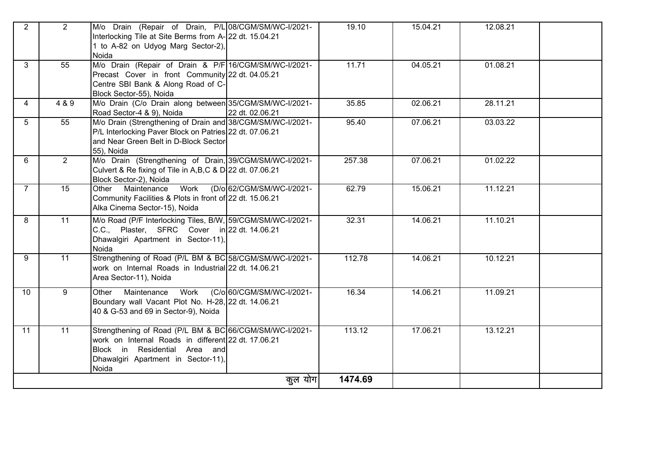| $\overline{2}$  | $\overline{2}$ | M/o Drain (Repair of Drain, P/L 08/CGM/SM/WC-I/2021-<br>Interlocking Tile at Site Berms from A- 22 dt. 15.04.21<br>1 to A-82 on Udyog Marg Sector-2),<br>Noida                                  | 19.10   | 15.04.21 | 12.08.21 |  |
|-----------------|----------------|-------------------------------------------------------------------------------------------------------------------------------------------------------------------------------------------------|---------|----------|----------|--|
| 3               | 55             | M/o Drain (Repair of Drain & P/F 16/CGM/SM/WC-I/2021-<br>Precast Cover in front Community 22 dt. 04.05.21<br>Centre SBI Bank & Along Road of C-<br>Block Sector-55), Noida                      | 11.71   | 04.05.21 | 01.08.21 |  |
| 4               | 4 & 9          | M/o Drain (C/o Drain along between 35/CGM/SM/WC-I/2021-<br>22 dt. 02.06.21<br>Road Sector-4 & 9), Noida                                                                                         | 35.85   | 02.06.21 | 28.11.21 |  |
| 5               | 55             | M/o Drain (Strengthening of Drain and 38/CGM/SM/WC-I/2021-<br>P/L Interlocking Paver Block on Patries 22 dt. 07.06.21<br>and Near Green Belt in D-Block Sector-<br>55), Noida                   | 95.40   | 07.06.21 | 03.03.22 |  |
| 6               | $2^{\circ}$    | M/o Drain (Strengthening of Drain, 39/CGM/SM/WC-I/2021-<br>Culvert & Re fixing of Tile in A,B,C & D. 22 dt. 07.06.21<br>Block Sector-2), Noida                                                  | 257.38  | 07.06.21 | 01.02.22 |  |
| $\overline{7}$  | 15             | Work<br>(D/o 62/CGM/SM/WC-I/2021-<br>Maintenance<br>Other<br>Community Facilities & Plots in front of 22 dt. 15.06.21<br>Alka Cinema Sector-15), Noida                                          | 62.79   | 15.06.21 | 11.12.21 |  |
| 8               | 11             | M/o Road (P/F Interlocking Tiles, B/W, 59/CGM/SM/WC-I/2021-<br>C.C., Plaster, SFRC Cover in 22 dt. 14.06.21<br>Dhawalgiri Apartment in Sector-11),<br>Noida                                     | 32.31   | 14.06.21 | 11.10.21 |  |
| 9               | 11             | Strengthening of Road (P/L BM & BC 58/CGM/SM/WC-I/2021-<br>work on Internal Roads in Industrial 22 dt. 14.06.21<br>Area Sector-11), Noida                                                       | 112.78  | 14.06.21 | 10.12.21 |  |
| 10 <sup>°</sup> | 9              | Work<br>(C/o 60/CGM/SM/WC-I/2021-<br>Maintenance<br>Other<br>Boundary wall Vacant Plot No. H-28, 22 dt. 14.06.21<br>40 & G-53 and 69 in Sector-9), Noida                                        | 16.34   | 14.06.21 | 11.09.21 |  |
| 11              | 11             | Strengthening of Road (P/L BM & BC 66/CGM/SM/WC-I/2021-<br>work on Internal Roads in different 22 dt. 17.06.21<br>Block in Residential Area and<br>Dhawalgiri Apartment in Sector-11),<br>Noida | 113.12  | 17.06.21 | 13.12.21 |  |
|                 |                | कुल योग।                                                                                                                                                                                        | 1474.69 |          |          |  |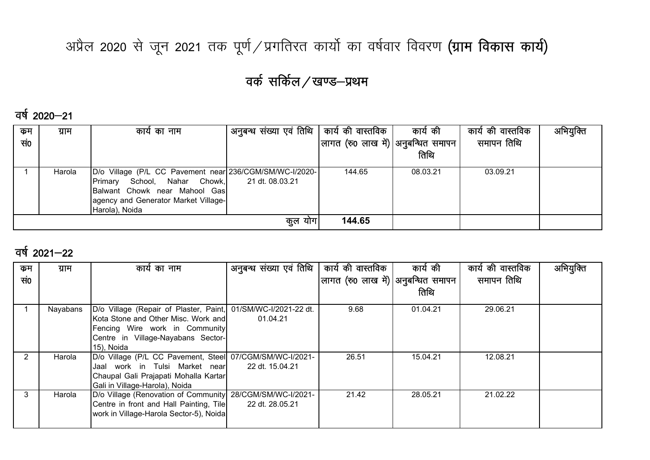# अप्रैल 2020 से जून 2021 तक पूर्ण / प्रगतिरत कार्यो का वर्षवार विवरण (ग्राम विकास कार्य)

## वर्क सर्किल / खण्ड-प्रथम

वर्ष 2020—21

| कम  | ग्राम  | कार्य का नाम                                                                                                                                                                          | अनुबन्ध संख्या एवं तिथि   कार्य की वास्तविक |                                      | कार्य की | कार्य की वास्तविक | अभियुक्ति |
|-----|--------|---------------------------------------------------------------------------------------------------------------------------------------------------------------------------------------|---------------------------------------------|--------------------------------------|----------|-------------------|-----------|
| सं0 |        |                                                                                                                                                                                       |                                             | लागत (रु0 लाख में) अनुबन्धित समापन ' |          | समापन तिथि        |           |
|     |        |                                                                                                                                                                                       |                                             |                                      | तिथि     |                   |           |
|     | Harola | D/o Village (P/L CC Pavement near 236/CGM/SM/WC-I/2020-<br>School, Nahar Chowk,<br>Primary<br>Balwant Chowk near Mahool Gas<br>agency and Generator Market Village-<br>Harola), Noida | 21 dt. 08.03.21                             | 144.65                               | 08.03.21 | 03.09.21          |           |
|     |        |                                                                                                                                                                                       | 144.65<br>कुल योग                           |                                      |          |                   |           |

### वर्ष 2021–22

| कम  | ग्राम    | कार्य का नाम                                                  | अनुबन्ध संख्या एवं तिथि | कार्य की वास्तविक                  | कार्य की | कार्य की वास्तविक | अभियुक्ति |
|-----|----------|---------------------------------------------------------------|-------------------------|------------------------------------|----------|-------------------|-----------|
| सं0 |          |                                                               |                         | लागत (रु0 लाख में) अनुबन्धित समापन |          | समापन तिथि        |           |
|     |          |                                                               |                         |                                    | तिथि     |                   |           |
|     | Nayabans | D/o Village (Repair of Plaster, Paint, 01/SM/WC-I/2021-22 dt. |                         | 9.68                               | 01.04.21 | 29.06.21          |           |
|     |          | Kota Stone and Other Misc. Work and                           | 01.04.21                |                                    |          |                   |           |
|     |          | Fencing Wire work in Community                                |                         |                                    |          |                   |           |
|     |          | Centre in Village-Nayabans Sector-                            |                         |                                    |          |                   |           |
|     |          | 15), Noida                                                    |                         |                                    |          |                   |           |
| 2   | Harola   | D/o Village (P/L CC Pavement, Steel 07/CGM/SM/WC-I/2021-      |                         | 26.51                              | 15.04.21 | 12.08.21          |           |
|     |          | work in Tulsi Market near<br>Jaal                             | 22 dt. 15.04.21         |                                    |          |                   |           |
|     |          | Chaupal Gali Prajapati Mohalla Kartar                         |                         |                                    |          |                   |           |
|     |          | Gali in Village-Harola), Noida                                |                         |                                    |          |                   |           |
| 3   | Harola   | D/o Village (Renovation of Community 28/CGM/SM/WC-I/2021-     |                         | 21.42                              | 28.05.21 | 21.02.22          |           |
|     |          | Centre in front and Hall Painting, Tile                       | 22 dt. 28.05.21         |                                    |          |                   |           |
|     |          | work in Village-Harola Sector-5), Noida                       |                         |                                    |          |                   |           |
|     |          |                                                               |                         |                                    |          |                   |           |